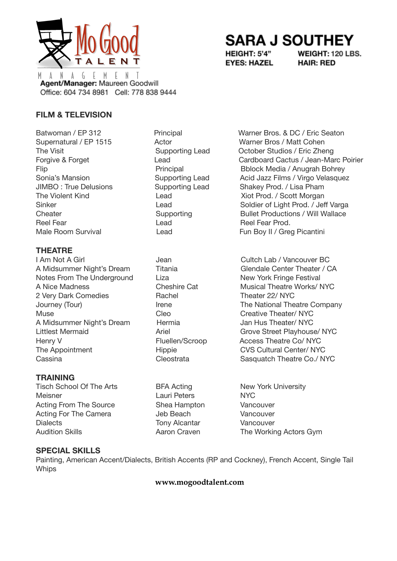

# **SARA J SOUTHEY**

HEIGHT: 5'4" **EYES: HAZEL**  WEIGHT: 120 LBS. **HAIR: RED** 

 $\left($ -N A Ť. M М Agent/Manager: Maureen Goodwill Office: 604 734 8981 Cell: 778 838 9444

## **FILM & TELEVISION**

Batwoman / EP 312 Principal Warner Bros. & DC / Eric Seaton Reel Fear **Reel Fear Prod.** Lead **Reel Fear Prod.** 

## **THEATRE**

Notes From The Underground Liza Liza New York Fringe Festival A Nice Madness **Cheshire Cat** Musical Theatre Works/ NYC 2 Very Dark Comedies **Rachel Theater 22/ NYC** Muse Cleo Creative Theater/ NYC A Midsummer Night's Dream Hermia Jan Hus Theater/ NYC Henry V Fluellen/Scroop Access Theatre Co/ NYC The Appointment The Appointment Hippie CVS Cultural Center/ NYC Cassina Cleostrata Cleostrata Sasquatch Theatre Co./ NYC

### **TRAINING**

Tisch School Of The Arts **BFA Acting New York University** Meisner **NYC** Lauri Peters NYC Acting From The Source Shea Hampton Vancouver Acting For The Camera Jeb Beach Vancouver Dialects Tony Alcantar Vancouver Audition Skills **Aaron Craven** The Working Actors Gym

Supernatural / EP 1515 Actor Actor Warner Bros / Matt Cohen The Visit **Supporting Lead** October Studios / Eric Zheng Forgive & Forget Lead Cardboard Cactus / Jean-Marc Poirier Flip **Principal** Principal Bblock Media / Anugrah Bohrey Sonia's Mansion **Supporting Lead** Acid Jazz Films / Virgo Velasquez JIMBO : True Delusions Supporting Lead Shakey Prod. / Lisa Pham The Violent Kind **Lead** Lead **Xiot Prod. / Scott Morgan** Sinker **Soldier of Light Prod.** / Jeff Varga Cheater Supporting Bullet Productions / Will Wallace Male Room Survival **Example 20** Lead Fun Boy II / Greg Picantini

I Am Not A Girl **I Guilte Cultch Lab / Vancouver BC** A Midsummer Night's Dream Titania Glendale Center Theater / CA Journey (Tour) **Irene** Irene The National Theatre Company Littlest Mermaid **Ariel** Ariel **Ariel Communist Communist Ariel Ariel Ariel Ariel Ariel Ariel Ariel Ariel Ariel Ariel Ariel Ariel Ariel Ariel Ariel Ariel Ariel Ariel Ariel Ariel Ariel Ariel Ariel Ariel Ariel Ariel Ariel Ar** 

### **SPECIAL SKILLS**

Painting, American Accent/Dialects, British Accents (RP and Cockney), French Accent, Single Tail **Whips** 

**www.mogoodtalent.com**